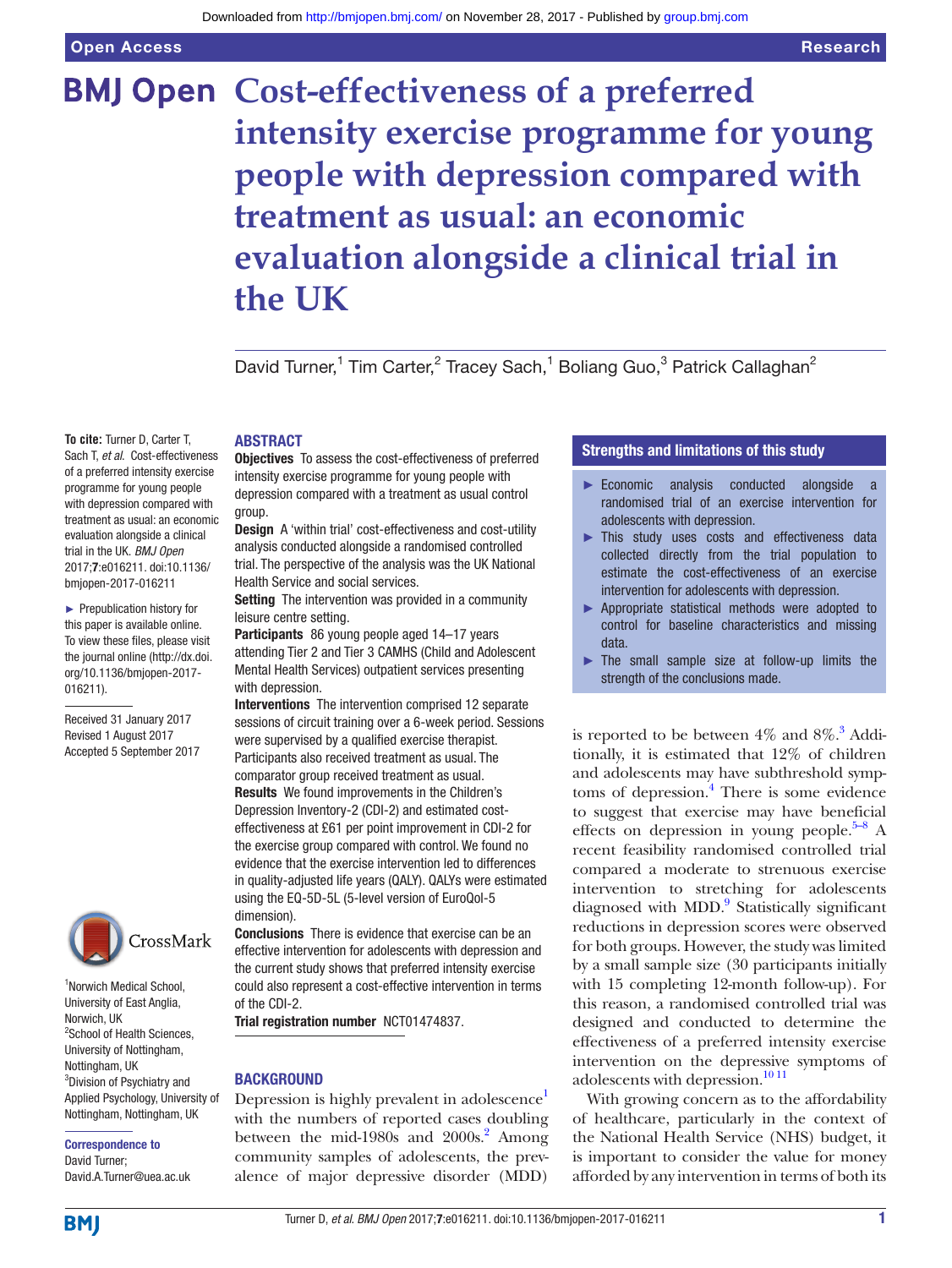# **BMJ Open Cost-effectiveness of a preferred intensity exercise programme for young people with depression compared with treatment as usual: an economic evaluation alongside a clinical trial in the UK**

David Turner,<sup>1</sup> Tim Carter,<sup>2</sup> Tracey Sach,<sup>1</sup> Boliang Guo,<sup>3</sup> Patrick Callaghan<sup>2</sup>

**To cite:** Turner D, Carter T, Sach T, *et al*. Cost-effectiveness of a preferred intensity exercise programme for young people with depression compared with treatment as usual: an economic evaluation alongside a clinical trial in the UK. *BMJ Open* 2017;7:e016211. doi:10.1136/

► Prepublication history for this paper is available online. To view these files, please visit the journal online [\(http://dx.doi.](http://dx.doi.org/10.1136/bmjopen-2017-016211) [org/10.1136/bmjopen-2017-](http://dx.doi.org/10.1136/bmjopen-2017-016211) [016211\)](http://dx.doi.org/10.1136/bmjopen-2017-016211).

bmjopen-2017-016211

Received 31 January 2017 Revised 1 August 2017 Accepted 5 September 2017



1 Norwich Medical School, University of East Anglia, Norwich, UK <sup>2</sup>School of Health Sciences, University of Nottingham, Nottingham, UK 3 Division of Psychiatry and Applied Psychology, University of Nottingham, Nottingham, UK

Correspondence to David Turner; David.A.Turner@uea.ac.uk

# **ABSTRACT**

Objectives To assess the cost-effectiveness of preferred intensity exercise programme for young people with depression compared with a treatment as usual control group.

Design A 'within trial' cost-effectiveness and cost-utility analysis conducted alongside a randomised controlled trial. The perspective of the analysis was the UK National Health Service and social services.

Setting The intervention was provided in a community leisure centre setting.

Participants 86 young people aged 14–17 years attending Tier 2 and Tier 3 CAMHS (Child and Adolescent Mental Health Services) outpatient services presenting with depression.

Interventions The intervention comprised 12 separate sessions of circuit training over a 6-week period. Sessions were supervised by a qualified exercise therapist. Participants also received treatment as usual. The comparator group received treatment as usual. Results We found improvements in the Children's Depression Inventory-2 (CDI-2) and estimated costeffectiveness at £61 per point improvement in CDI-2 for the exercise group compared with control. We found no evidence that the exercise intervention led to differences in quality-adjusted life years (QALY). QALYs were estimated using the EQ-5D-5L (5-level version of EuroQol-5 dimension).

Conclusions There is evidence that exercise can be an effective intervention for adolescents with depression and the current study shows that preferred intensity exercise could also represent a cost-effective intervention in terms of the CDI-2.

Trial registration number NCT01474837.

# **BACKGROUND**

Depression is highly prevalent in adolescence<sup>1</sup> with the numbers of reported cases doubling between the mid-1980s and  $2000s$ .<sup>2</sup> Among community samples of adolescents, the prevalence of major depressive disorder (MDD)

# Strengths and limitations of this study

- ► Economic analysis conducted alongside a randomised trial of an exercise intervention for adolescents with depression.
- ► This study uses costs and effectiveness data collected directly from the trial population to estimate the cost-effectiveness of an exercise intervention for adolescents with depression.
- ► Appropriate statistical methods were adopted to control for baseline characteristics and missing data.
- ► The small sample size at follow-up limits the strength of the conclusions made.

is reported to be between  $4\%$  and  $8\%$ .<sup>3</sup> Additionally, it is estimated that 12% of children and adolescents may have subthreshold symp-toms of depression.<sup>[4](#page-7-3)</sup> There is some evidence to suggest that exercise may have beneficial effects on depression in young people.<sup>5–8</sup> A recent feasibility randomised controlled trial compared a moderate to strenuous exercise intervention to stretching for adolescents diagnosed with MDD.<sup>9</sup> Statistically significant reductions in depression scores were observed for both groups. However, the study was limited by a small sample size (30 participants initially with 15 completing 12-month follow-up). For this reason, a randomised controlled trial was designed and conducted to determine the effectiveness of a preferred intensity exercise intervention on the depressive symptoms of adolescents with depression.<sup>[10 11](#page-7-6)</sup>

With growing concern as to the affordability of healthcare, particularly in the context of the National Health Service (NHS) budget, it is important to consider the value for money afforded by any intervention in terms of both its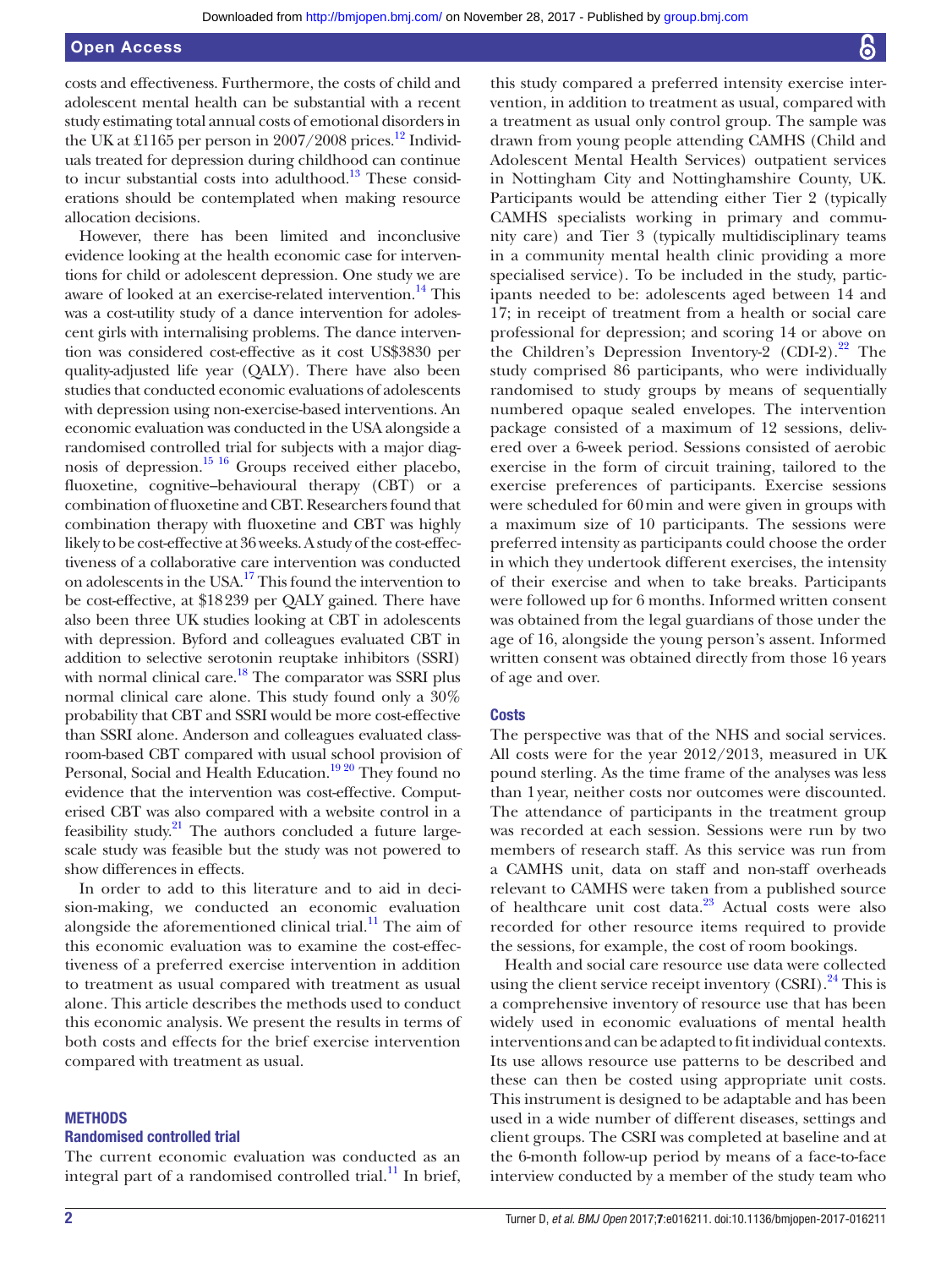costs and effectiveness. Furthermore, the costs of child and adolescent mental health can be substantial with a recent study estimating total annual costs of emotional disorders in the UK at £1165 per person in 2007/2008 prices.<sup>12</sup> Individuals treated for depression during childhood can continue to incur substantial costs into adulthood.<sup>[13](#page-7-8)</sup> These considerations should be contemplated when making resource allocation decisions.

However, there has been limited and inconclusive evidence looking at the health economic case for interventions for child or adolescent depression. One study we are aware of looked at an exercise-related intervention.<sup>14</sup> This was a cost-utility study of a dance intervention for adolescent girls with internalising problems. The dance intervention was considered cost-effective as it cost US\$3830 per quality-adjusted life year (QALY). There have also been studies that conducted economic evaluations of adolescents with depression using non-exercise-based interventions. An economic evaluation was conducted in the USA alongside a randomised controlled trial for subjects with a major diagnosis of depression.<sup>15 16</sup> Groups received either placebo, fluoxetine, cognitive–behavioural therapy (CBT) or a combination of fluoxetine and CBT. Researchers found that combination therapy with fluoxetine and CBT was highly likely to be cost-effective at 36 weeks. A study of the cost-effectiveness of a collaborative care intervention was conducted on adolescents in the USA[.17](#page-7-11) This found the intervention to be cost-effective, at \$18239 per QALY gained. There have also been three UK studies looking at CBT in adolescents with depression. Byford and colleagues evaluated CBT in addition to selective serotonin reuptake inhibitors (SSRI) with normal clinical care.<sup>18</sup> The comparator was SSRI plus normal clinical care alone. This study found only a 30% probability that CBT and SSRI would be more cost-effective than SSRI alone. Anderson and colleagues evaluated classroom-based CBT compared with usual school provision of Personal, Social and Health Education.<sup>19 20</sup> They found no evidence that the intervention was cost-effective. Computerised CBT was also compared with a website control in a feasibility study.<sup>[21](#page-7-14)</sup> The authors concluded a future largescale study was feasible but the study was not powered to show differences in effects.

In order to add to this literature and to aid in decision-making, we conducted an economic evaluation alongside the aforementioned clinical trial. $^{11}$  The aim of this economic evaluation was to examine the cost-effectiveness of a preferred exercise intervention in addition to treatment as usual compared with treatment as usual alone. This article describes the methods used to conduct this economic analysis. We present the results in terms of both costs and effects for the brief exercise intervention compared with treatment as usual.

# **METHODS**

#### Randomised controlled trial

The current economic evaluation was conducted as an integral part of a randomised controlled trial.<sup>11</sup> In brief,

this study compared a preferred intensity exercise intervention, in addition to treatment as usual, compared with a treatment as usual only control group. The sample was drawn from young people attending CAMHS (Child and Adolescent Mental Health Services) outpatient services in Nottingham City and Nottinghamshire County, UK. Participants would be attending either Tier 2 (typically CAMHS specialists working in primary and community care) and Tier 3 (typically multidisciplinary teams in a community mental health clinic providing a more specialised service). To be included in the study, participants needed to be: adolescents aged between 14 and 17; in receipt of treatment from a health or social care professional for depression; and scoring 14 or above on the Children's Depression Inventory-2  $(CDI-2)$ .<sup>[22](#page-7-16)</sup> The study comprised 86 participants, who were individually randomised to study groups by means of sequentially numbered opaque sealed envelopes. The intervention package consisted of a maximum of 12 sessions, delivered over a 6-week period. Sessions consisted of aerobic exercise in the form of circuit training, tailored to the exercise preferences of participants. Exercise sessions were scheduled for 60min and were given in groups with a maximum size of 10 participants. The sessions were preferred intensity as participants could choose the order in which they undertook different exercises, the intensity of their exercise and when to take breaks. Participants were followed up for 6 months. Informed written consent was obtained from the legal guardians of those under the age of 16, alongside the young person's assent. Informed written consent was obtained directly from those 16 years of age and over.

#### **Costs**

The perspective was that of the NHS and social services. All costs were for the year 2012/2013, measured in UK pound sterling. As the time frame of the analyses was less than 1year, neither costs nor outcomes were discounted. The attendance of participants in the treatment group was recorded at each session. Sessions were run by two members of research staff. As this service was run from a CAMHS unit, data on staff and non-staff overheads relevant to CAMHS were taken from a published source of healthcare unit cost data.<sup>23</sup> Actual costs were also recorded for other resource items required to provide the sessions, for example, the cost of room bookings.

Health and social care resource use data were collected using the client service receipt inventory (CSRI).<sup>24</sup> This is a comprehensive inventory of resource use that has been widely used in economic evaluations of mental health interventions and can be adapted to fit individual contexts. Its use allows resource use patterns to be described and these can then be costed using appropriate unit costs. This instrument is designed to be adaptable and has been used in a wide number of different diseases, settings and client groups. The CSRI was completed at baseline and at the 6-month follow-up period by means of a face-to-face interview conducted by a member of the study team who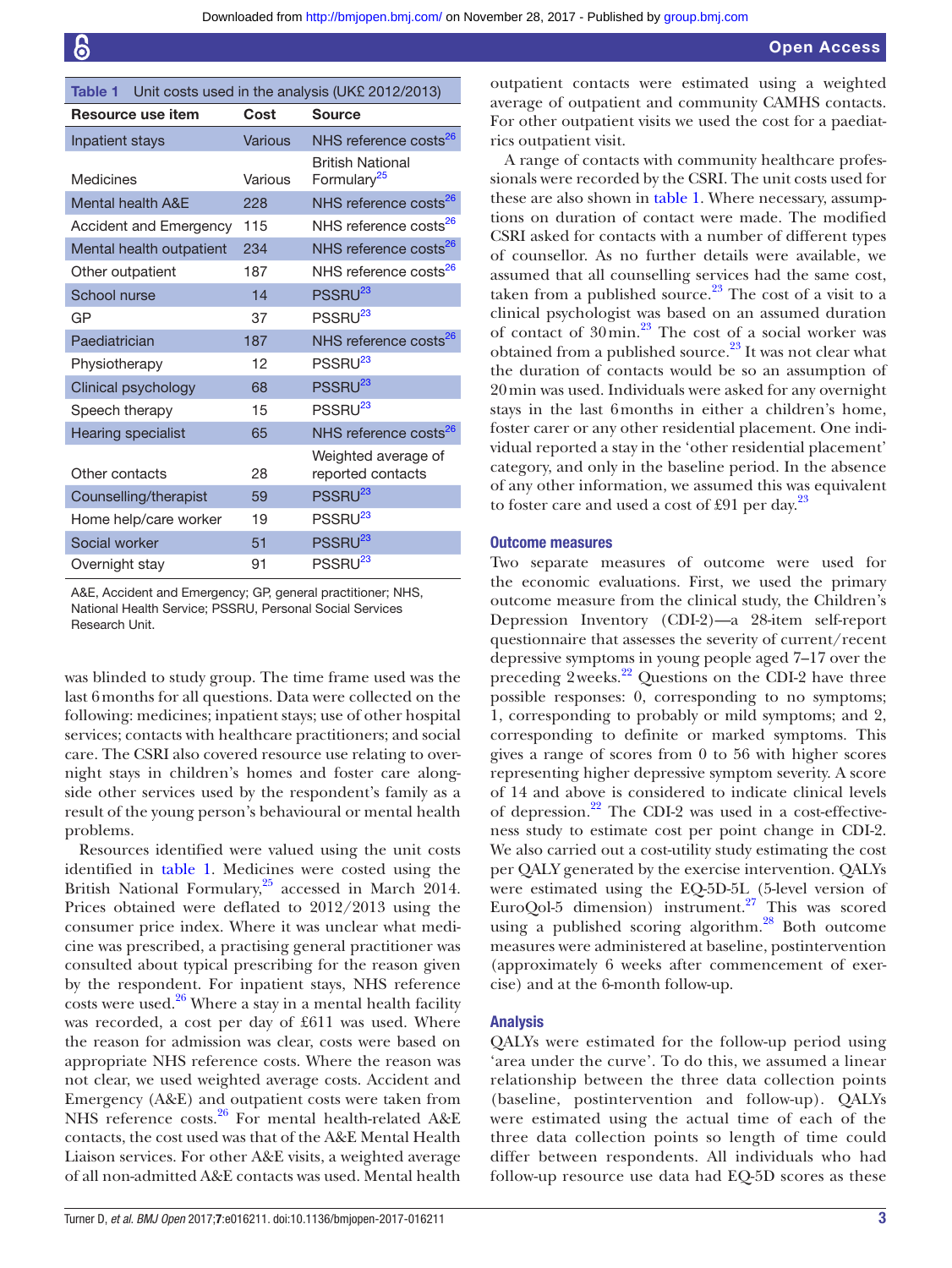<span id="page-2-0"></span>

| <b>Table 1</b><br>Unit costs used in the analysis (UK£ 2012/2013) |                |                                                    |  |
|-------------------------------------------------------------------|----------------|----------------------------------------------------|--|
| Resource use item                                                 | Cost           | <b>Source</b>                                      |  |
| Inpatient stays                                                   | <b>Various</b> | NHS reference costs <sup>26</sup>                  |  |
| Medicines                                                         | Various        | <b>British National</b><br>Formulary <sup>25</sup> |  |
| <b>Mental health A&amp;E</b>                                      | 228            | NHS reference costs <sup>26</sup>                  |  |
| Accident and Emergency                                            | 115            | NHS reference costs <sup>26</sup>                  |  |
| Mental health outpatient                                          | 234            | NHS reference costs <sup>26</sup>                  |  |
| Other outpatient                                                  | 187            | NHS reference costs <sup>26</sup>                  |  |
| School nurse                                                      | 14             | PSSRU <sup>23</sup>                                |  |
| GP                                                                | 37             | PSSRU <sup>23</sup>                                |  |
| Paediatrician                                                     | 187            | NHS reference costs <sup>26</sup>                  |  |
| Physiotherapy                                                     | 12             | PSSRU <sup>23</sup>                                |  |
| Clinical psychology                                               | 68             | PSSRU <sup>23</sup>                                |  |
| Speech therapy                                                    | 15             | PSSRU <sup>23</sup>                                |  |
| <b>Hearing specialist</b>                                         | 65             | NHS reference costs <sup>26</sup>                  |  |
| Other contacts                                                    | 28             | Weighted average of<br>reported contacts           |  |
| Counselling/therapist                                             | 59             | PSSRU <sup>23</sup>                                |  |
| Home help/care worker                                             | 19             | PSSRU <sup>23</sup>                                |  |
| Social worker                                                     | 51             | PSSRU <sup>23</sup>                                |  |
| Overnight stay                                                    | 91             | PSSRU <sup>23</sup>                                |  |

A&E, Accident and Emergency; GP, general practitioner; NHS, National Health Service; PSSRU, Personal Social Services Research Unit.

was blinded to study group. The time frame used was the last 6months for all questions. Data were collected on the following: medicines; inpatient stays; use of other hospital services; contacts with healthcare practitioners; and social care. The CSRI also covered resource use relating to overnight stays in children's homes and foster care alongside other services used by the respondent's family as a result of the young person's behavioural or mental health problems.

Resources identified were valued using the unit costs identified in [table](#page-2-0) 1. Medicines were costed using the British National Formulary,<sup>25</sup> accessed in March 2014. Prices obtained were deflated to 2012/2013 using the consumer price index. Where it was unclear what medicine was prescribed, a practising general practitioner was consulted about typical prescribing for the reason given by the respondent. For inpatient stays, NHS reference costs were used. $26$  Where a stay in a mental health facility was recorded, a cost per day of £611 was used. Where the reason for admission was clear, costs were based on appropriate NHS reference costs. Where the reason was not clear, we used weighted average costs. Accident and Emergency (A&E) and outpatient costs were taken from NHS reference costs.<sup>26</sup> For mental health-related A&E contacts, the cost used was that of the A&E Mental Health Liaison services. For other A&E visits, a weighted average of all non-admitted A&E contacts was used. Mental health

outpatient contacts were estimated using a weighted average of outpatient and community CAMHS contacts. For other outpatient visits we used the cost for a paediatrics outpatient visit.

A range of contacts with community healthcare professionals were recorded by the CSRI. The unit costs used for these are also shown in [table](#page-2-0) 1. Where necessary, assumptions on duration of contact were made. The modified CSRI asked for contacts with a number of different types of counsellor. As no further details were available, we assumed that all counselling services had the same cost, taken from a published source. $23$  The cost of a visit to a clinical psychologist was based on an assumed duration of contact of  $30$ min.<sup>23</sup> The cost of a social worker was obtained from a published source.<sup>23</sup> It was not clear what the duration of contacts would be so an assumption of 20min was used. Individuals were asked for any overnight stays in the last 6months in either a children's home, foster carer or any other residential placement. One individual reported a stay in the 'other residential placement' category, and only in the baseline period. In the absence of any other information, we assumed this was equivalent to foster care and used a cost of £91 per day. $^{23}$ 

#### Outcome measures

Two separate measures of outcome were used for the economic evaluations. First, we used the primary outcome measure from the clinical study, the Children's Depression Inventory (CDI-2)—a 28-item self-report questionnaire that assesses the severity of current/recent depressive symptoms in young people aged 7–17 over the preceding  $2 \text{ weeks}^{22}$  Questions on the CDI-2 have three possible responses: 0, corresponding to no symptoms; 1, corresponding to probably or mild symptoms; and 2, corresponding to definite or marked symptoms. This gives a range of scores from 0 to 56 with higher scores representing higher depressive symptom severity. A score of 14 and above is considered to indicate clinical levels of depression.<sup>[22](#page-7-16)</sup> The CDI-2 was used in a cost-effectiveness study to estimate cost per point change in CDI-2. We also carried out a cost-utility study estimating the cost per QALY generated by the exercise intervention. QALYs were estimated using the EQ-5D-5L (5-level version of EuroQol-5 dimension) instrument.<sup>[27](#page-8-2)</sup> This was scored using a published scoring algorithm.<sup>[28](#page-8-3)</sup> Both outcome measures were administered at baseline, postintervention (approximately 6 weeks after commencement of exercise) and at the 6-month follow-up.

#### Analysis

QALYs were estimated for the follow-up period using 'area under the curve'. To do this, we assumed a linear relationship between the three data collection points (baseline, postintervention and follow-up). QALYs were estimated using the actual time of each of the three data collection points so length of time could differ between respondents. All individuals who had follow-up resource use data had EQ-5D scores as these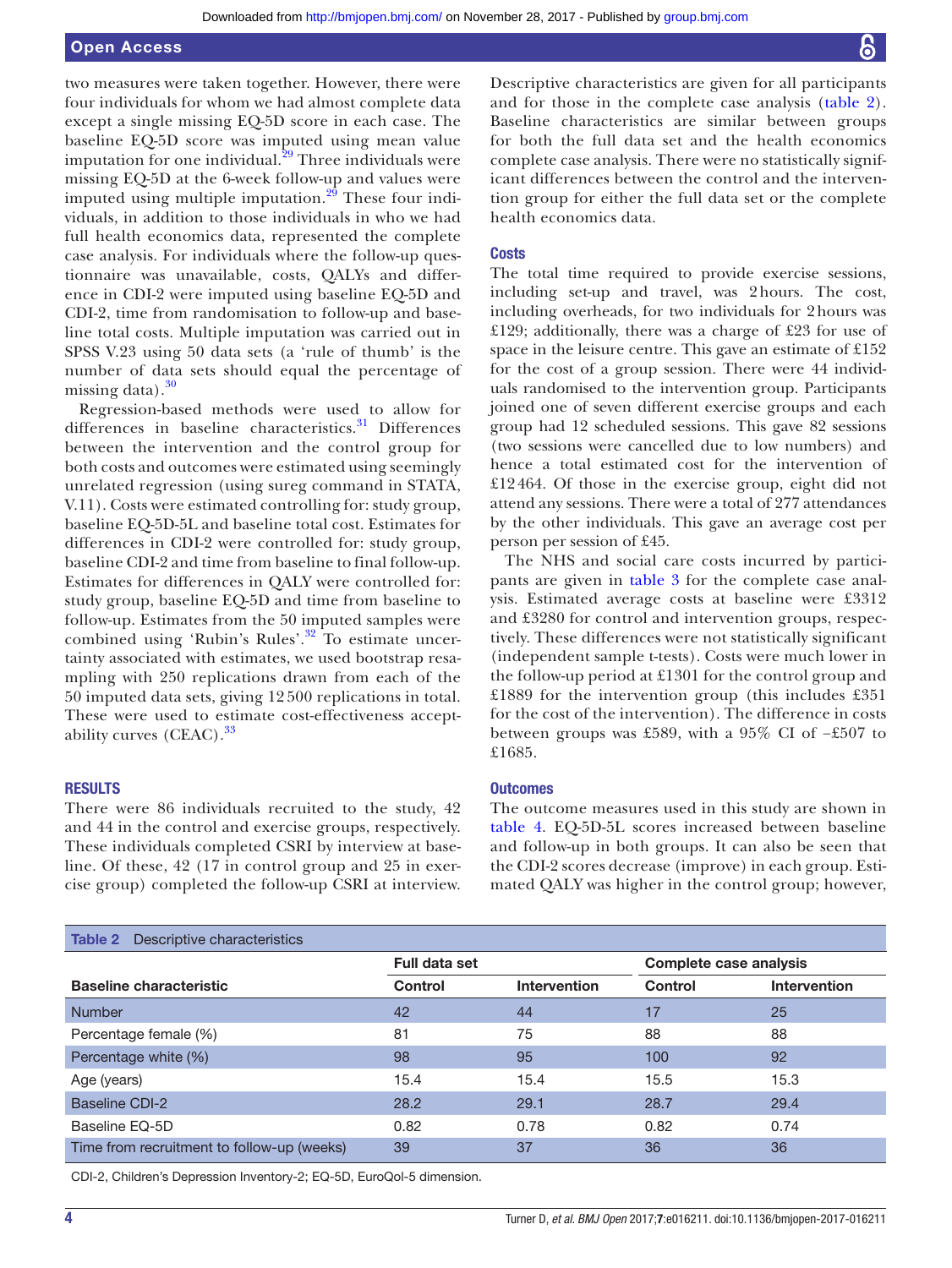# Open Access

two measures were taken together. However, there were four individuals for whom we had almost complete data except a single missing EQ-5D score in each case. The baseline EQ-5D score was imputed using mean value imputation for one individual.<sup>29</sup> Three individuals were missing EQ-5D at the 6-week follow-up and values were imputed using multiple imputation. $29$  These four individuals, in addition to those individuals in who we had full health economics data, represented the complete case analysis. For individuals where the follow-up questionnaire was unavailable, costs, QALYs and difference in CDI-2 were imputed using baseline EQ-5D and CDI-2, time from randomisation to follow-up and baseline total costs. Multiple imputation was carried out in SPSS V.23 using 50 data sets (a 'rule of thumb' is the number of data sets should equal the percentage of missing data). $30$ 

Regression-based methods were used to allow for differences in baseline characteristics.<sup>[31](#page-8-6)</sup> Differences between the intervention and the control group for both costs and outcomes were estimated using seemingly unrelated regression (using sureg command in STATA, V.11). Costs were estimated controlling for: study group, baseline EQ-5D-5L and baseline total cost. Estimates for differences in CDI-2 were controlled for: study group, baseline CDI-2 and time from baseline to final follow-up. Estimates for differences in QALY were controlled for: study group, baseline EQ-5D and time from baseline to follow-up. Estimates from the 50 imputed samples were combined using 'Rubin's Rules'.[32](#page-8-7) To estimate uncertainty associated with estimates, we used bootstrap resampling with 250 replications drawn from each of the 50 imputed data sets, giving 12 500 replications in total. These were used to estimate cost-effectiveness accept-ability curves (CEAC).<sup>[33](#page-8-8)</sup>

# **RESULTS**

There were 86 individuals recruited to the study, 42 and 44 in the control and exercise groups, respectively. These individuals completed CSRI by interview at baseline. Of these, 42 (17 in control group and 25 in exercise group) completed the follow-up CSRI at interview.

Descriptive characteristics are given for all participants and for those in the complete case analysis ([table](#page-3-0) 2). Baseline characteristics are similar between groups for both the full data set and the health economics complete case analysis. There were no statistically significant differences between the control and the intervention group for either the full data set or the complete health economics data.

#### **Costs**

The total time required to provide exercise sessions, including set-up and travel, was 2hours. The cost, including overheads, for two individuals for 2hours was £129; additionally, there was a charge of £23 for use of space in the leisure centre. This gave an estimate of £152 for the cost of a group session. There were 44 individuals randomised to the intervention group. Participants joined one of seven different exercise groups and each group had 12 scheduled sessions. This gave 82 sessions (two sessions were cancelled due to low numbers) and hence a total estimated cost for the intervention of £12464. Of those in the exercise group, eight did not attend any sessions. There were a total of 277 attendances by the other individuals. This gave an average cost per person per session of £45.

The NHS and social care costs incurred by participants are given in [table](#page-4-0) 3 for the complete case analysis. Estimated average costs at baseline were £3312 and £3280 for control and intervention groups, respectively. These differences were not statistically significant (independent sample t-tests). Costs were much lower in the follow-up period at £1301 for the control group and £1889 for the intervention group (this includes £351 for the cost of the intervention). The difference in costs between groups was £589, with a 95% CI of −£507 to £1685.

#### **Outcomes**

The outcome measures used in this study are shown in [table](#page-5-0) 4. EQ-5D-5L scores increased between baseline and follow-up in both groups. It can also be seen that the CDI-2 scores decrease (improve) in each group. Estimated QALY was higher in the control group; however,

<span id="page-3-0"></span>

| <b>Table 2</b> Descriptive characteristics |                      |                     |                               |                     |
|--------------------------------------------|----------------------|---------------------|-------------------------------|---------------------|
|                                            | <b>Full data set</b> |                     | <b>Complete case analysis</b> |                     |
| <b>Baseline characteristic</b>             | <b>Control</b>       | <b>Intervention</b> | <b>Control</b>                | <b>Intervention</b> |
| <b>Number</b>                              | 42                   | 44                  | 17                            | 25                  |
| Percentage female (%)                      | 81                   | 75                  | 88                            | 88                  |
| Percentage white (%)                       | 98                   | 95                  | 100                           | 92                  |
| Age (years)                                | 15.4                 | 15.4                | 15.5                          | 15.3                |
| Baseline CDI-2                             | 28.2                 | 29.1                | 28.7                          | 29.4                |
| Baseline EQ-5D                             | 0.82                 | 0.78                | 0.82                          | 0.74                |
| Time from recruitment to follow-up (weeks) | 39                   | 37                  | 36                            | 36                  |

CDI-2, Children's Depression Inventory-2; EQ-5D, EuroQol-5 dimension.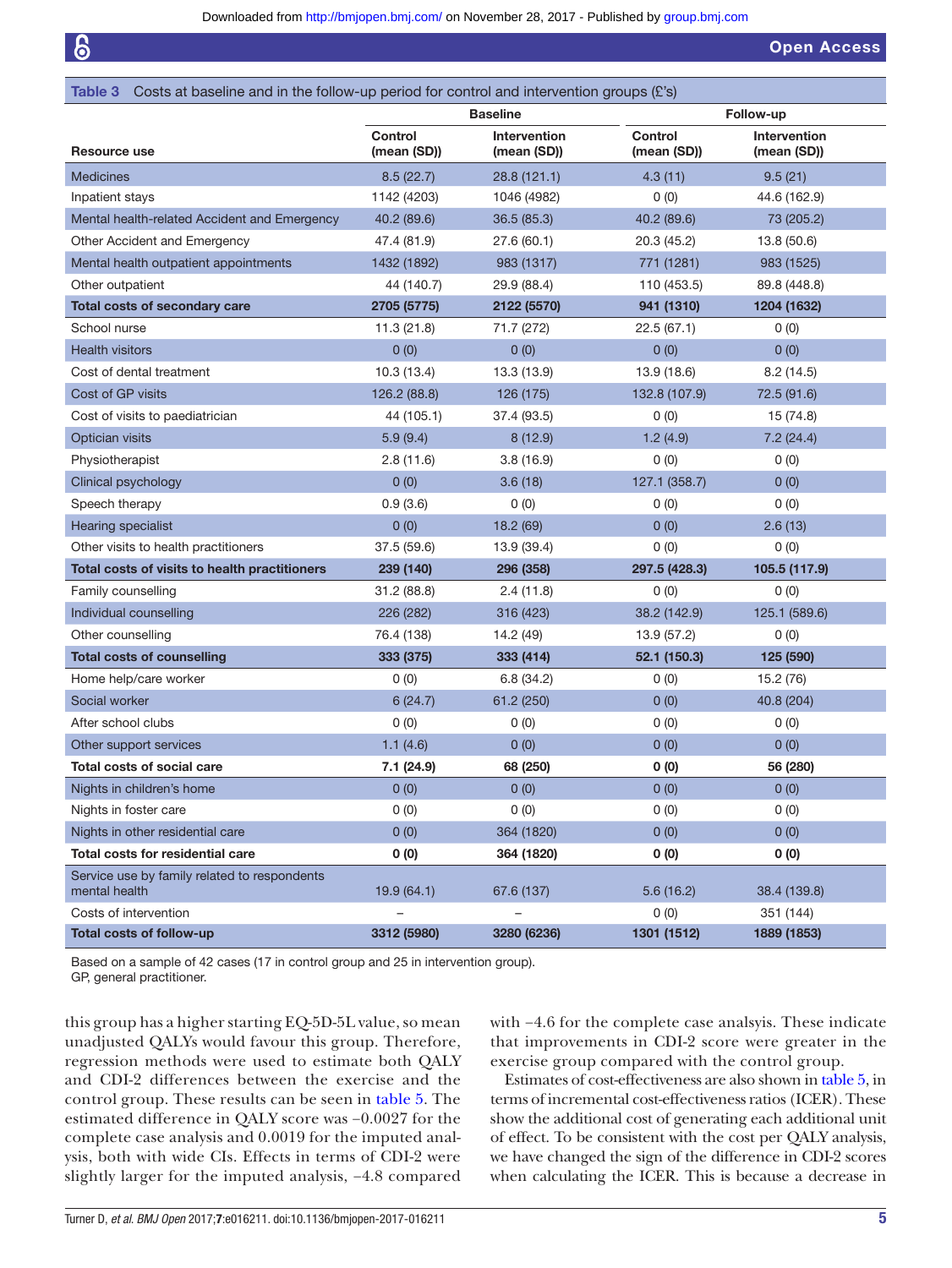Open Access

<span id="page-4-0"></span>

| Table 3 Costs at baseline and in the follow-up period for control and intervention groups $(E's)$ |                               |                             |                               |                                    |  |
|---------------------------------------------------------------------------------------------------|-------------------------------|-----------------------------|-------------------------------|------------------------------------|--|
|                                                                                                   | <b>Baseline</b>               |                             |                               | Follow-up                          |  |
| Resource use                                                                                      | <b>Control</b><br>(mean (SD)) | Intervention<br>(mean (SD)) | <b>Control</b><br>(mean (SD)) | <b>Intervention</b><br>(mean (SD)) |  |
| <b>Medicines</b>                                                                                  | 8.5(22.7)                     | 28.8(121.1)                 | 4.3(11)                       | 9.5(21)                            |  |
| Inpatient stays                                                                                   | 1142 (4203)                   | 1046 (4982)                 | 0(0)                          | 44.6 (162.9)                       |  |
| Mental health-related Accident and Emergency                                                      | 40.2 (89.6)                   | 36.5(85.3)                  | 40.2 (89.6)                   | 73 (205.2)                         |  |
| Other Accident and Emergency                                                                      | 47.4 (81.9)                   | 27.6 (60.1)                 | 20.3 (45.2)                   | 13.8 (50.6)                        |  |
| Mental health outpatient appointments                                                             | 1432 (1892)                   | 983 (1317)                  | 771 (1281)                    | 983 (1525)                         |  |
| Other outpatient                                                                                  | 44 (140.7)                    | 29.9 (88.4)                 | 110 (453.5)                   | 89.8 (448.8)                       |  |
| Total costs of secondary care                                                                     | 2705 (5775)                   | 2122 (5570)                 | 941 (1310)                    | 1204 (1632)                        |  |
| School nurse                                                                                      | 11.3(21.8)                    | 71.7 (272)                  | 22.5(67.1)                    | 0(0)                               |  |
| <b>Health visitors</b>                                                                            | 0(0)                          | 0(0)                        | 0(0)                          | 0(0)                               |  |
| Cost of dental treatment                                                                          | 10.3(13.4)                    | 13.3 (13.9)                 | 13.9 (18.6)                   | 8.2(14.5)                          |  |
| Cost of GP visits                                                                                 | 126.2 (88.8)                  | 126 (175)                   | 132.8 (107.9)                 | 72.5 (91.6)                        |  |
| Cost of visits to paediatrician                                                                   | 44 (105.1)                    | 37.4 (93.5)                 | 0(0)                          | 15 (74.8)                          |  |
| Optician visits                                                                                   | 5.9(9.4)                      | 8(12.9)                     | 1.2(4.9)                      | 7.2(24.4)                          |  |
| Physiotherapist                                                                                   | 2.8(11.6)                     | 3.8(16.9)                   | 0(0)                          | 0(0)                               |  |
| Clinical psychology                                                                               | 0(0)                          | 3.6(18)                     | 127.1 (358.7)                 | 0(0)                               |  |
| Speech therapy                                                                                    | 0.9(3.6)                      | 0(0)                        | 0(0)                          | 0(0)                               |  |
| <b>Hearing specialist</b>                                                                         | 0(0)                          | 18.2 (69)                   | 0(0)                          | 2.6(13)                            |  |
| Other visits to health practitioners                                                              | 37.5 (59.6)                   | 13.9 (39.4)                 | 0(0)                          | 0(0)                               |  |
| Total costs of visits to health practitioners                                                     | 239 (140)                     | 296 (358)                   | 297.5 (428.3)                 | 105.5 (117.9)                      |  |
| Family counselling                                                                                | 31.2 (88.8)                   | 2.4(11.8)                   | 0(0)                          | 0(0)                               |  |
| Individual counselling                                                                            | 226 (282)                     | 316 (423)                   | 38.2 (142.9)                  | 125.1 (589.6)                      |  |
| Other counselling                                                                                 | 76.4 (138)                    | 14.2 (49)                   | 13.9 (57.2)                   | 0(0)                               |  |
| <b>Total costs of counselling</b>                                                                 | 333 (375)                     | 333 (414)                   | 52.1 (150.3)                  | 125 (590)                          |  |
| Home help/care worker                                                                             | 0(0)                          | 6.8(34.2)                   | 0(0)                          | 15.2 (76)                          |  |
| Social worker                                                                                     | 6(24.7)                       | 61.2 (250)                  | 0(0)                          | 40.8 (204)                         |  |
| After school clubs                                                                                | 0(0)                          | 0(0)                        | 0(0)                          | 0(0)                               |  |
| Other support services                                                                            | 1.1(4.6)                      | 0(0)                        | 0(0)                          | 0(0)                               |  |
| <b>Total costs of social care</b>                                                                 | 7.1 (24.9)                    | 68 (250)                    | 0(0)                          | 56 (280)                           |  |
| Nights in children's home                                                                         | 0(0)                          | 0(0)                        | 0(0)                          | 0(0)                               |  |
| Nights in foster care                                                                             | 0(0)                          | 0(0)                        | 0(0)                          | 0(0)                               |  |
| Nights in other residential care                                                                  | 0(0)                          | 364 (1820)                  | 0(0)                          | 0(0)                               |  |
| Total costs for residential care                                                                  | 0(0)                          | 364 (1820)                  | 0(0)                          | 0(0)                               |  |
| Service use by family related to respondents<br>mental health                                     | 19.9(64.1)                    | 67.6 (137)                  | 5.6(16.2)                     | 38.4 (139.8)                       |  |
| Costs of intervention                                                                             |                               |                             | 0(0)                          | 351 (144)                          |  |
| Total costs of follow-up                                                                          | 3312 (5980)                   | 3280 (6236)                 | 1301 (1512)                   | 1889 (1853)                        |  |
|                                                                                                   |                               |                             |                               |                                    |  |

Based on a sample of 42 cases (17 in control group and 25 in intervention group). GP, general practitioner.

this group has a higher starting EQ-5D-5L value, so mean unadjusted QALYs would favour this group. Therefore, regression methods were used to estimate both QALY and CDI-2 differences between the exercise and the control group. These results can be seen in [table](#page-5-1) 5. The estimated difference in QALY score was −0.0027 for the complete case analysis and 0.0019 for the imputed analysis, both with wide CIs. Effects in terms of CDI-2 were slightly larger for the imputed analysis, −4.8 compared

with −4.6 for the complete case analsyis. These indicate that improvements in CDI-2 score were greater in the exercise group compared with the control group.

Estimates of cost-effectiveness are also shown in [table](#page-5-1) 5, in terms of incremental cost-effectiveness ratios (ICER). These show the additional cost of generating each additional unit of effect. To be consistent with the cost per QALY analysis, we have changed the sign of the difference in CDI-2 scores when calculating the ICER. This is because a decrease in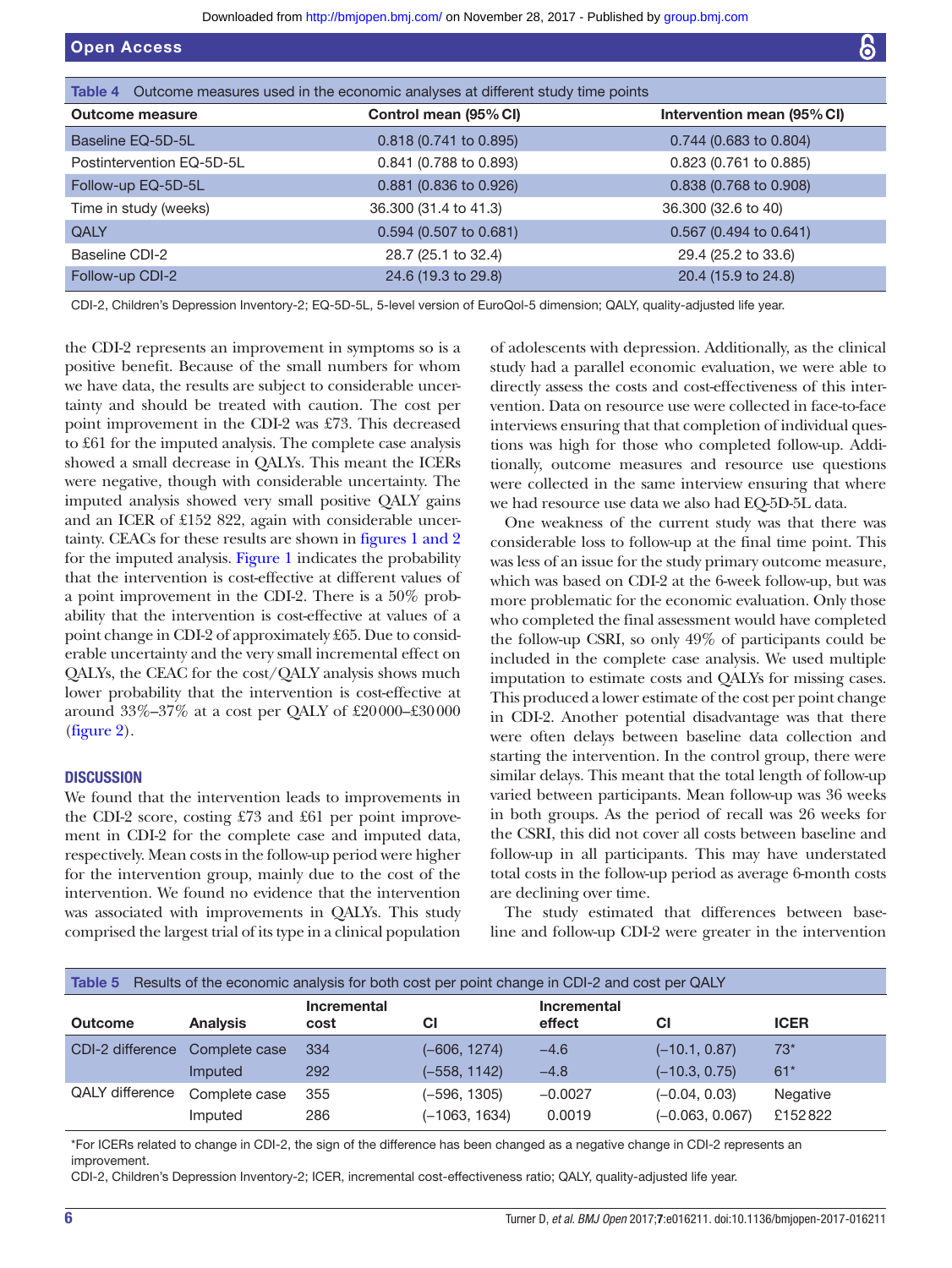<span id="page-5-0"></span>

| Table 4 Outcome measures used in the economic analyses at different study time points |                        |                            |  |  |
|---------------------------------------------------------------------------------------|------------------------|----------------------------|--|--|
| <b>Outcome measure</b>                                                                | Control mean (95% CI)  | Intervention mean (95% CI) |  |  |
| Baseline EQ-5D-5L                                                                     | 0.818 (0.741 to 0.895) | 0.744 (0.683 to 0.804)     |  |  |
| Postintervention EQ-5D-5L                                                             | 0.841 (0.788 to 0.893) | 0.823 (0.761 to 0.885)     |  |  |
| Follow-up EQ-5D-5L                                                                    | 0.881 (0.836 to 0.926) | 0.838 (0.768 to 0.908)     |  |  |
| Time in study (weeks)                                                                 | 36.300 (31.4 to 41.3)  | 36.300 (32.6 to 40)        |  |  |
| <b>QALY</b>                                                                           | 0.594 (0.507 to 0.681) | $0.567$ (0.494 to 0.641)   |  |  |
| Baseline CDI-2                                                                        | 28.7 (25.1 to 32.4)    | 29.4 (25.2 to 33.6)        |  |  |
| Follow-up CDI-2                                                                       | 24.6 (19.3 to 29.8)    | 20.4 (15.9 to 24.8)        |  |  |

CDI-2, Children's Depression Inventory-2; EQ-5D-5L, 5-level version of EuroQol-5 dimension; QALY, quality-adjusted life year.

the CDI-2 represents an improvement in symptoms so is a positive benefit. Because of the small numbers for whom we have data, the results are subject to considerable uncertainty and should be treated with caution. The cost per point improvement in the CDI-2 was £73. This decreased to £61 for the imputed analysis. The complete case analysis showed a small decrease in QALYs. This meant the ICERs were negative, though with considerable uncertainty. The imputed analysis showed very small positive QALY gains and an ICER of £152 822, again with considerable uncertainty. CEACs for these results are shown in figures [1 and 2](#page-6-0) for the imputed analysis. [Figure](#page-6-0) 1 indicates the probability that the intervention is cost-effective at different values of a point improvement in the CDI-2. There is a 50% probability that the intervention is cost-effective at values of a point change in CDI-2 of approximately £65. Due to considerable uncertainty and the very small incremental effect on QALYs, the CEAC for the cost/QALY analysis shows much lower probability that the intervention is cost-effective at around 33%–37% at a cost per QALY of £20000–£30000 ([figure](#page-6-1) 2).

# **DISCUSSION**

We found that the intervention leads to improvements in the CDI-2 score, costing £73 and £61 per point improvement in CDI-2 for the complete case and imputed data, respectively. Mean costs in the follow-up period were higher for the intervention group, mainly due to the cost of the intervention. We found no evidence that the intervention was associated with improvements in QALYs. This study comprised the largest trial of its type in a clinical population

of adolescents with depression. Additionally, as the clinical study had a parallel economic evaluation, we were able to directly assess the costs and cost-effectiveness of this intervention. Data on resource use were collected in face-to-face interviews ensuring that that completion of individual questions was high for those who completed follow-up. Additionally, outcome measures and resource use questions were collected in the same interview ensuring that where we had resource use data we also had EQ-5D-5L data.

One weakness of the current study was that there was considerable loss to follow-up at the final time point. This was less of an issue for the study primary outcome measure, which was based on CDI-2 at the 6-week follow-up, but was more problematic for the economic evaluation. Only those who completed the final assessment would have completed the follow-up CSRI, so only 49% of participants could be included in the complete case analysis. We used multiple imputation to estimate costs and QALYs for missing cases. This produced a lower estimate of the cost per point change in CDI-2. Another potential disadvantage was that there were often delays between baseline data collection and starting the intervention. In the control group, there were similar delays. This meant that the total length of follow-up varied between participants. Mean follow-up was 36 weeks in both groups. As the period of recall was 26 weeks for the CSRI, this did not cover all costs between baseline and follow-up in all participants. This may have understated total costs in the follow-up period as average 6-month costs are declining over time.

The study estimated that differences between baseline and follow-up CDI-2 were greater in the intervention

<span id="page-5-1"></span>

| Results of the economic analysis for both cost per point change in CDI-2 and cost per QALY<br>Table 5 |                 |                     |                 |                              |                   |             |
|-------------------------------------------------------------------------------------------------------|-----------------|---------------------|-----------------|------------------------------|-------------------|-------------|
| <b>Outcome</b>                                                                                        | <b>Analysis</b> | Incremental<br>cost | СI              | <b>Incremental</b><br>effect | СI                | <b>ICER</b> |
| CDI-2 difference                                                                                      | Complete case   | 334                 | (–606, 1274)    | $-4.6$                       | $(-10.1, 0.87)$   | $73*$       |
|                                                                                                       | Imputed         | 292                 | (-558, 1142)    | $-4.8$                       | $(-10.3, 0.75)$   | $61*$       |
| <b>QALY</b> difference                                                                                | Complete case   | 355                 | (–596, 1305)    | $-0.0027$                    | $(-0.04, 0.03)$   | Negative    |
|                                                                                                       | Imputed         | 286                 | $(-1063, 1634)$ | 0.0019                       | $(-0.063, 0.067)$ | £152822     |

\*For ICERs related to change in CDI-2, the sign of the difference has been changed as a negative change in CDI-2 represents an improvement.

CDI-2, Children's Depression Inventory-2; ICER, incremental cost-effectiveness ratio; QALY, quality-adjusted life year.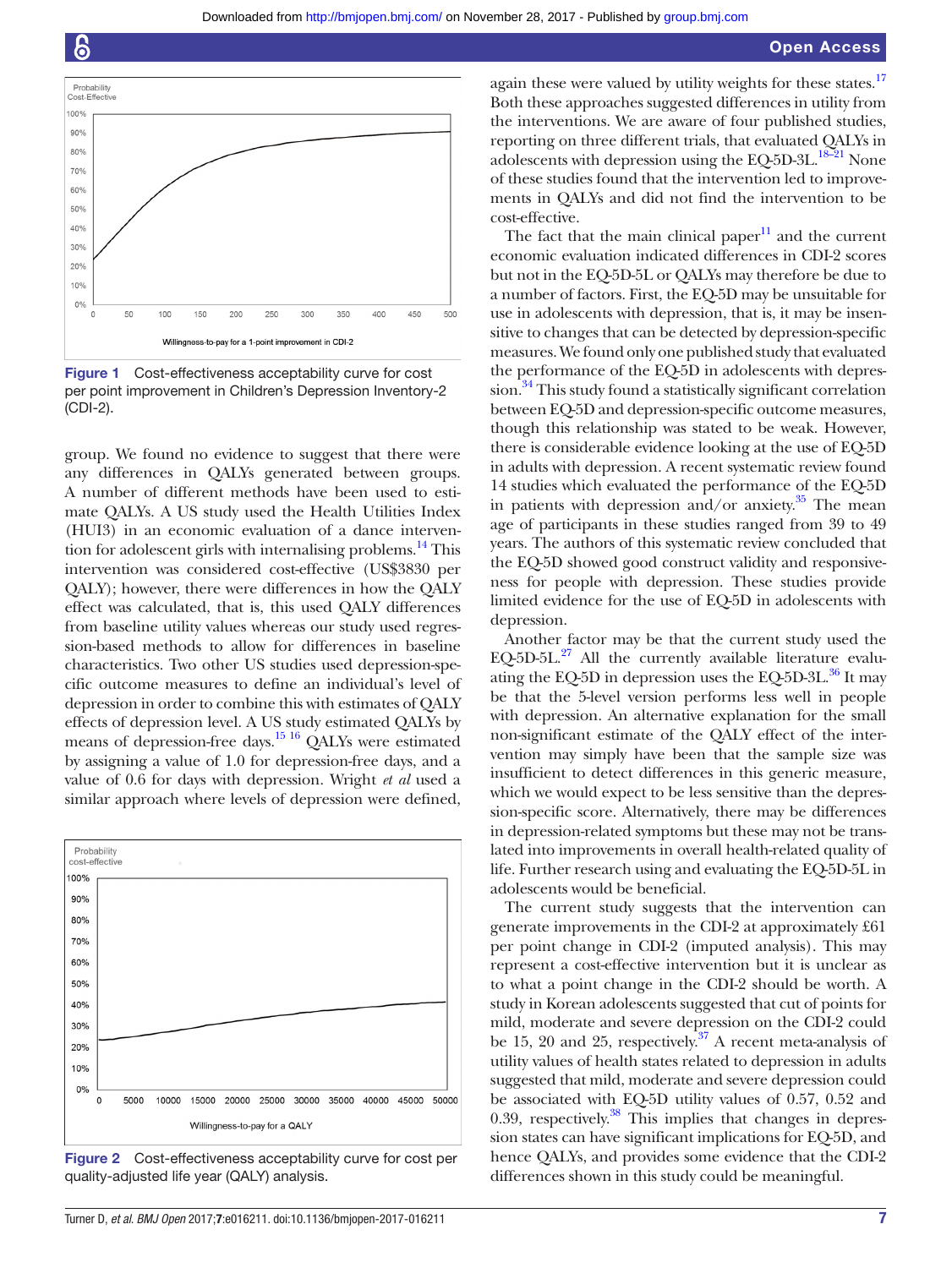Downloaded from<http://bmjopen.bmj.com/>on November 28, 2017 - Published by [group.bmj.com](http://group.bmj.com)



<span id="page-6-0"></span>Figure 1 Cost-effectiveness acceptability curve for cost per point improvement in Children's Depression Inventory-2 (CDI-2).

group. We found no evidence to suggest that there were any differences in QALYs generated between groups. A number of different methods have been used to estimate QALYs. A US study used the Health Utilities Index (HUI3) in an economic evaluation of a dance interven-tion for adolescent girls with internalising problems.<sup>[14](#page-7-9)</sup> This intervention was considered cost-effective (US\$3830 per QALY); however, there were differences in how the QALY effect was calculated, that is, this used QALY differences from baseline utility values whereas our study used regression-based methods to allow for differences in baseline characteristics. Two other US studies used depression-specific outcome measures to define an individual's level of depression in order to combine this with estimates of QALY effects of depression level. A US study estimated QALYs by means of depression-free days[.15 16](#page-7-10) QALYs were estimated by assigning a value of 1.0 for depression-free days, and a value of 0.6 for days with depression. Wright *et al* used a similar approach where levels of depression were defined,



<span id="page-6-1"></span>Figure 2 Cost-effectiveness acceptability curve for cost per quality-adjusted life year (QALY) analysis.

again these were valued by utility weights for these states.<sup>17</sup> Both these approaches suggested differences in utility from the interventions. We are aware of four published studies, reporting on three different trials, that evaluated QALYs in adolescents with depression using the EQ-5D-3L.<sup>18-21</sup> None of these studies found that the intervention led to improvements in QALYs and did not find the intervention to be cost-effective.

The fact that the main clinical paper $11$  and the current economic evaluation indicated differences in CDI-2 scores but not in the EQ-5D-5L or QALYs may therefore be due to a number of factors. First, the EQ-5D may be unsuitable for use in adolescents with depression, that is, it may be insensitive to changes that can be detected by depression-specific measures. We found only one published study that evaluated the performance of the EQ-5D in adolescents with depres-sion.<sup>[34](#page-8-9)</sup> This study found a statistically significant correlation between EQ-5D and depression-specific outcome measures, though this relationship was stated to be weak. However, there is considerable evidence looking at the use of EQ-5D in adults with depression. A recent systematic review found 14 studies which evaluated the performance of the EQ-5D in patients with depression and/or anxiety. $35$  The mean age of participants in these studies ranged from 39 to 49 years. The authors of this systematic review concluded that the EQ-5D showed good construct validity and responsiveness for people with depression. These studies provide limited evidence for the use of EQ-5D in adolescents with depression.

Another factor may be that the current study used the EQ-5D-5L. $^{27}$  All the currently available literature evaluating the EQ-5D in depression uses the EQ-5D-3L. $^{36}$  It may be that the 5-level version performs less well in people with depression. An alternative explanation for the small non-significant estimate of the QALY effect of the intervention may simply have been that the sample size was insufficient to detect differences in this generic measure, which we would expect to be less sensitive than the depression-specific score. Alternatively, there may be differences in depression-related symptoms but these may not be translated into improvements in overall health-related quality of life. Further research using and evaluating the EQ-5D-5L in adolescents would be beneficial.

The current study suggests that the intervention can generate improvements in the CDI-2 at approximately £61 per point change in CDI-2 (imputed analysis). This may represent a cost-effective intervention but it is unclear as to what a point change in the CDI-2 should be worth. A study in Korean adolescents suggested that cut of points for mild, moderate and severe depression on the CDI-2 could be 15, 20 and 25, respectively. $37$  A recent meta-analysis of utility values of health states related to depression in adults suggested that mild, moderate and severe depression could be associated with EQ-5D utility values of 0.57, 0.52 and 0.39, respectively. $38$  This implies that changes in depression states can have significant implications for EQ-5D, and hence QALYs, and provides some evidence that the CDI-2 differences shown in this study could be meaningful.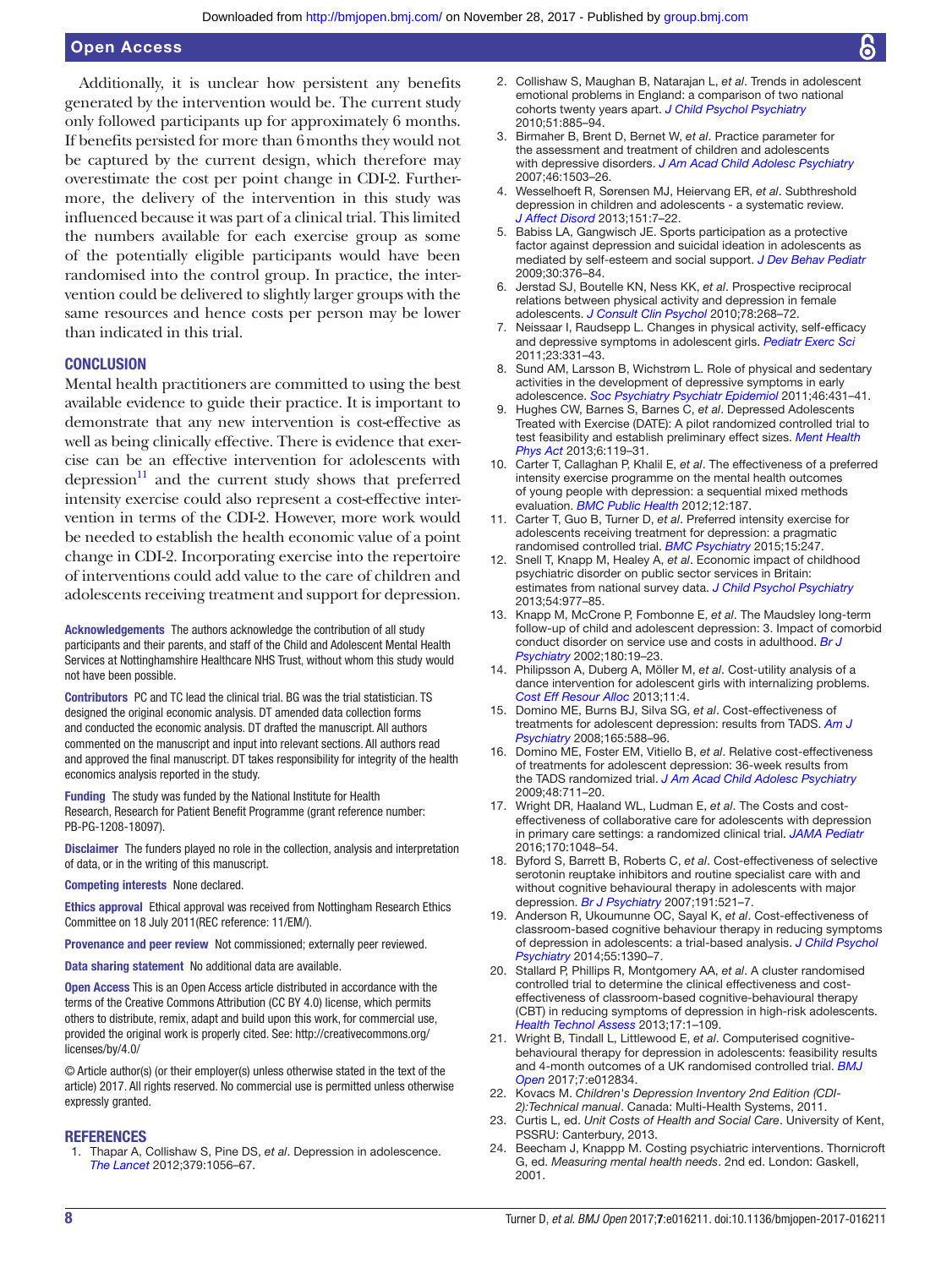Additionally, it is unclear how persistent any benefits generated by the intervention would be. The current study only followed participants up for approximately 6 months. If benefits persisted for more than 6months they would not be captured by the current design, which therefore may overestimate the cost per point change in CDI-2. Furthermore, the delivery of the intervention in this study was influenced because it was part of a clinical trial. This limited the numbers available for each exercise group as some of the potentially eligible participants would have been randomised into the control group. In practice, the intervention could be delivered to slightly larger groups with the same resources and hence costs per person may be lower than indicated in this trial.

#### **CONCLUSION**

Mental health practitioners are committed to using the best available evidence to guide their practice. It is important to demonstrate that any new intervention is cost-effective as well as being clinically effective. There is evidence that exercise can be an effective intervention for adolescents with depression $11$  and the current study shows that preferred intensity exercise could also represent a cost-effective intervention in terms of the CDI-2. However, more work would be needed to establish the health economic value of a point change in CDI-2. Incorporating exercise into the repertoire of interventions could add value to the care of children and adolescents receiving treatment and support for depression.

Acknowledgements The authors acknowledge the contribution of all study participants and their parents, and staff of the Child and Adolescent Mental Health Services at Nottinghamshire Healthcare NHS Trust, without whom this study would not have been possible.

Contributors PC and TC lead the clinical trial. BG was the trial statistician. TS designed the original economic analysis. DT amended data collection forms and conducted the economic analysis. DT drafted the manuscript. All authors commented on the manuscript and input into relevant sections. All authors read and approved the final manuscript. DT takes responsibility for integrity of the health economics analysis reported in the study.

Funding The study was funded by the National Institute for Health Research, Research for Patient Benefit Programme (grant reference number: PB-PG-1208-18097).

Disclaimer The funders played no role in the collection, analysis and interpretation of data, or in the writing of this manuscript.

Competing interests None declared.

Ethics approval Ethical approval was received from Nottingham Research Ethics Committee on 18 July 2011(REC reference: 11/EM/).

Provenance and peer review Not commissioned; externally peer reviewed.

Data sharing statement No additional data are available.

Open Access This is an Open Access article distributed in accordance with the terms of the Creative Commons Attribution (CC BY 4.0) license, which permits others to distribute, remix, adapt and build upon this work, for commercial use, provided the original work is properly cited. See: [http://creativecommons.org/](http://creativecommons.org/licenses/by/4.0/) [licenses/by/4.0/](http://creativecommons.org/licenses/by/4.0/)

© Article author(s) (or their employer(s) unless otherwise stated in the text of the article) 2017. All rights reserved. No commercial use is permitted unless otherwise expressly granted.

#### **REFERENCES**

<span id="page-7-0"></span>1. Thapar A, Collishaw S, Pine DS, *et al*. Depression in adolescence. *[The Lancet](http://dx.doi.org/10.1016/S0140-6736(11)60871-4)* 2012;379:1056–67.

- <span id="page-7-1"></span>2. Collishaw S, Maughan B, Natarajan L, *et al*. Trends in adolescent emotional problems in England: a comparison of two national cohorts twenty years apart. *[J Child Psychol Psychiatry](http://dx.doi.org/10.1111/j.1469-7610.2010.02252.x)* 2010;51:885–94.
- <span id="page-7-2"></span>3. Birmaher B, Brent D, Bernet W, *et al*. Practice parameter for the assessment and treatment of children and adolescents with depressive disorders. *[J Am Acad Child Adolesc Psychiatry](http://dx.doi.org/10.1097/chi.0b013e318145ae1c)* 2007;46:1503–26.
- <span id="page-7-3"></span>4. Wesselhoeft R, Sørensen MJ, Heiervang ER, *et al*. Subthreshold depression in children and adolescents - a systematic review. *[J Affect Disord](http://dx.doi.org/10.1016/j.jad.2013.06.010)* 2013;151:7–22.
- <span id="page-7-4"></span>5. Babiss LA, Gangwisch JE. Sports participation as a protective factor against depression and suicidal ideation in adolescents as mediated by self-esteem and social support. *[J Dev Behav Pediatr](http://dx.doi.org/10.1097/DBP.0b013e3181b33659)* 2009;30:376–84.
- 6. Jerstad SJ, Boutelle KN, Ness KK, *et al*. Prospective reciprocal relations between physical activity and depression in female adolescents. *[J Consult Clin Psychol](http://dx.doi.org/10.1037/a0018793)* 2010;78:268–72.
- 7. Neissaar I, Raudsepp L. Changes in physical activity, self-efficacy and depressive symptoms in adolescent girls. *[Pediatr Exerc Sci](http://dx.doi.org/10.1123/pes.23.3.331)* 2011;23:331–43.
- 8. Sund AM, Larsson B, Wichstrøm L. Role of physical and sedentary activities in the development of depressive symptoms in early adolescence. *[Soc Psychiatry Psychiatr Epidemiol](http://dx.doi.org/10.1007/s00127-010-0208-0)* 2011;46:431–41.
- <span id="page-7-5"></span>9. Hughes CW, Barnes S, Barnes C, *et al*. Depressed Adolescents Treated with Exercise (DATE): A pilot randomized controlled trial to test feasibility and establish preliminary effect sizes. *[Ment Health](http://dx.doi.org/10.1016/j.mhpa.2013.06.006)  [Phys Act](http://dx.doi.org/10.1016/j.mhpa.2013.06.006)* 2013;6:119–31.
- <span id="page-7-6"></span>10. Carter T, Callaghan P, Khalil E, *et al*. The effectiveness of a preferred intensity exercise programme on the mental health outcomes of young people with depression: a sequential mixed methods evaluation. *[BMC Public Health](http://dx.doi.org/10.1186/1471-2458-12-187)* 2012;12:187.
- <span id="page-7-15"></span>11. Carter T, Guo B, Turner D, *et al*. Preferred intensity exercise for adolescents receiving treatment for depression: a pragmatic randomised controlled trial. *[BMC Psychiatry](http://dx.doi.org/10.1186/s12888-015-0638-z)* 2015;15:247.
- <span id="page-7-7"></span>12. Snell T, Knapp M, Healey A, *et al*. Economic impact of childhood psychiatric disorder on public sector services in Britain: estimates from national survey data. *[J Child Psychol Psychiatry](http://dx.doi.org/10.1111/jcpp.12055)* 2013;54:977–85.
- <span id="page-7-8"></span>13. Knapp M, McCrone P, Fombonne E, *et al*. The Maudsley long-term follow-up of child and adolescent depression: 3. Impact of comorbid conduct disorder on service use and costs in adulthood. *[Br J](http://dx.doi.org/10.1192/bjp.180.1.19)  [Psychiatry](http://dx.doi.org/10.1192/bjp.180.1.19)* 2002;180:19–23.
- <span id="page-7-9"></span>14. Philipsson A, Duberg A, Möller M, *et al*. Cost-utility analysis of a dance intervention for adolescent girls with internalizing problems. *[Cost Eff Resour Alloc](http://dx.doi.org/10.1186/1478-7547-11-4)* 2013;11:4.
- <span id="page-7-10"></span>15. Domino ME, Burns BJ, Silva SG, *et al*. Cost-effectiveness of treatments for adolescent depression: results from TADS. *[Am J](http://dx.doi.org/10.1176/appi.ajp.2008.07101610)  [Psychiatry](http://dx.doi.org/10.1176/appi.ajp.2008.07101610)* 2008;165:588–96.
- 16. Domino ME, Foster EM, Vitiello B, *et al*. Relative cost-effectiveness of treatments for adolescent depression: 36-week results from the TADS randomized trial. *[J Am Acad Child Adolesc Psychiatry](http://dx.doi.org/10.1097/CHI.0b013e3181a2b319)* 2009;48:711–20.
- <span id="page-7-11"></span>17. Wright DR, Haaland WL, Ludman E, *et al*. The Costs and costeffectiveness of collaborative care for adolescents with depression in primary care settings: a randomized clinical trial. *[JAMA Pediatr](http://dx.doi.org/10.1001/jamapediatrics.2016.1721)* 2016;170:1048–54.
- <span id="page-7-12"></span>18. Byford S, Barrett B, Roberts C, *et al*. Cost-effectiveness of selective serotonin reuptake inhibitors and routine specialist care with and without cognitive behavioural therapy in adolescents with major depression. *[Br J Psychiatry](http://dx.doi.org/10.1192/bjp.bp.107.038984)* 2007;191:521–7.
- <span id="page-7-13"></span>19. Anderson R, Ukoumunne OC, Sayal K, *et al*. Cost-effectiveness of classroom-based cognitive behaviour therapy in reducing symptoms of depression in adolescents: a trial-based analysis. *[J Child Psychol](http://dx.doi.org/10.1111/jcpp.12248)  [Psychiatry](http://dx.doi.org/10.1111/jcpp.12248)* 2014;55:1390–7.
- 20. Stallard P, Phillips R, Montgomery AA, *et al*. A cluster randomised controlled trial to determine the clinical effectiveness and costeffectiveness of classroom-based cognitive-behavioural therapy (CBT) in reducing symptoms of depression in high-risk adolescents. *[Health Technol Assess](http://dx.doi.org/10.3310/hta17470)* 2013;17:1–109.
- <span id="page-7-14"></span>21. Wright B, Tindall L, Littlewood E, *et al*. Computerised cognitivebehavioural therapy for depression in adolescents: feasibility results and 4-month outcomes of a UK randomised controlled trial. *[BMJ](http://dx.doi.org/10.1136/bmjopen-2016-012834)  [Open](http://dx.doi.org/10.1136/bmjopen-2016-012834)* 2017;7:e012834.
- <span id="page-7-16"></span>22. Kovacs M. *Children's Depression Inventory 2nd Edition (CDI-2):Technical manual*. Canada: Multi-Health Systems, 2011.
- <span id="page-7-17"></span>23. Curtis L, ed. *Unit Costs of Health and Social Care*. University of Kent, PSSRU: Canterbury, 2013.
- <span id="page-7-18"></span>24. Beecham J, Knappp M. Costing psychiatric interventions. Thornicroft G, ed. *Measuring mental health needs*. 2nd ed. London: Gaskell, 2001.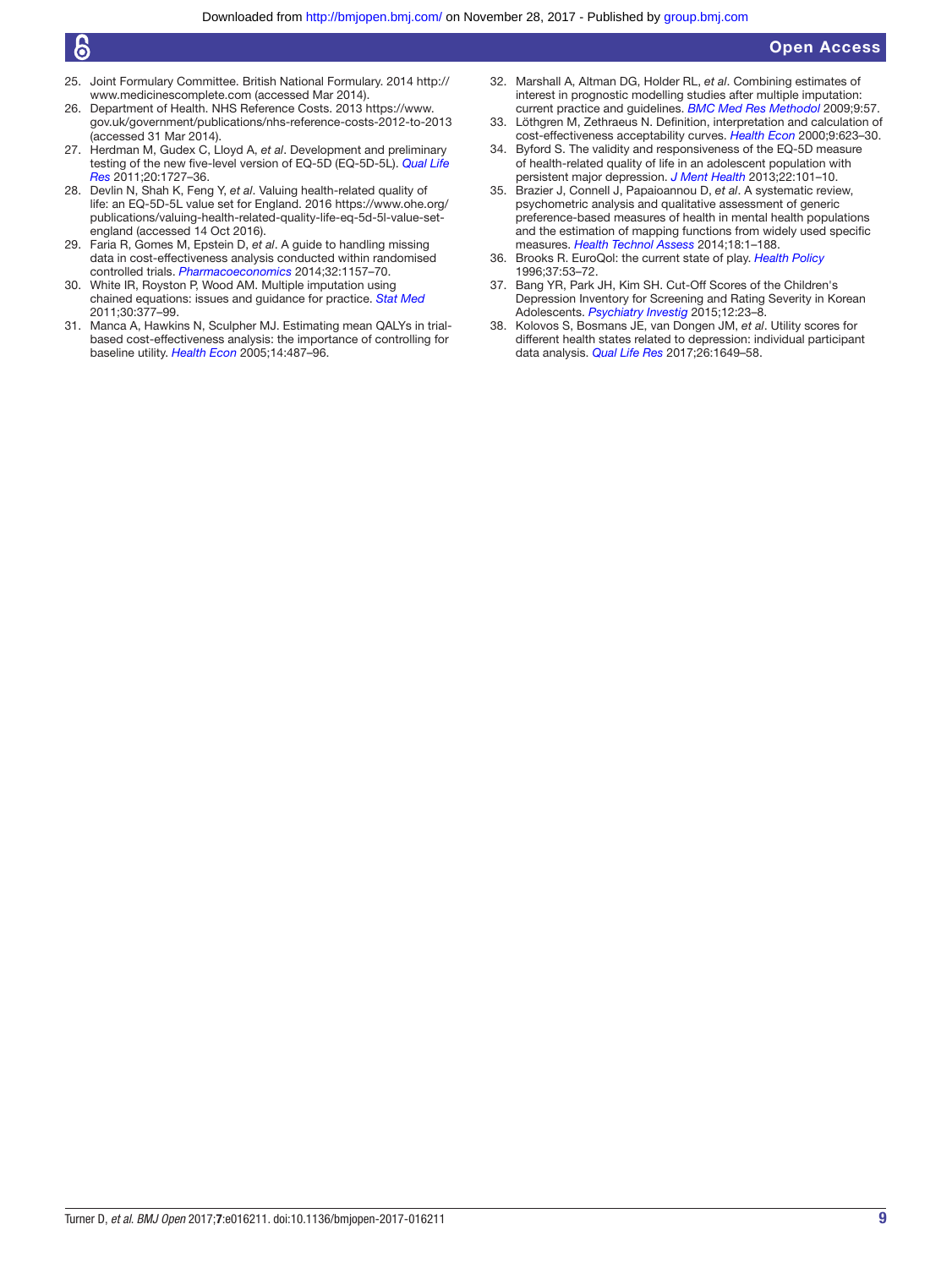# န

- <span id="page-8-1"></span>25. Joint Formulary Committee. British National Formulary. 2014 [http://](http://www.medicinescomplete.com) [www.medicinescomplete.com](http://www.medicinescomplete.com) (accessed Mar 2014).
- <span id="page-8-0"></span>26. Department of Health. NHS Reference Costs. 2013 [https://www.](https://www.gov.uk/government/publications/nhs-reference-costs-2012-to-2013) [gov.uk/government/publications/nhs-reference-costs-2012-to-2013](https://www.gov.uk/government/publications/nhs-reference-costs-2012-to-2013)  (accessed 31 Mar 2014).
- <span id="page-8-2"></span>27. Herdman M, Gudex C, Lloyd A, *et al*. Development and preliminary testing of the new five-level version of EQ-5D (EQ-5D-5L). *[Qual Life](http://dx.doi.org/10.1007/s11136-011-9903-x)  [Res](http://dx.doi.org/10.1007/s11136-011-9903-x)* 2011;20:1727–36.
- <span id="page-8-3"></span>28. Devlin N, Shah K, Feng Y, *et al*. Valuing health-related quality of life: an EQ-5D-5L value set for England. 2016 [https://www.ohe.org/](https://www.ohe.org/publications/valuing-health-related-quality-life-eq-5d-5l-value-set-england) [publications/valuing-health-related-quality-life-eq-5d-5l-value-set](https://www.ohe.org/publications/valuing-health-related-quality-life-eq-5d-5l-value-set-england)[england](https://www.ohe.org/publications/valuing-health-related-quality-life-eq-5d-5l-value-set-england) (accessed 14 Oct 2016).
- <span id="page-8-4"></span>29. Faria R, Gomes M, Epstein D, *et al*. A guide to handling missing data in cost-effectiveness analysis conducted within randomised controlled trials. *[Pharmacoeconomics](http://dx.doi.org/10.1007/s40273-014-0193-3)* 2014;32:1157–70.
- <span id="page-8-5"></span>30. White IR, Royston P, Wood AM. Multiple imputation using chained equations: issues and guidance for practice. *[Stat Med](http://dx.doi.org/10.1002/sim.4067)* 2011;30:377–99.
- <span id="page-8-6"></span>31. Manca A, Hawkins N, Sculpher MJ. Estimating mean QALYs in trialbased cost-effectiveness analysis: the importance of controlling for baseline utility. *[Health Econ](http://dx.doi.org/10.1002/hec.944)* 2005;14:487–96.
- <span id="page-8-7"></span>32. Marshall A, Altman DG, Holder RL, *et al*. Combining estimates of interest in prognostic modelling studies after multiple imputation: current practice and guidelines. *[BMC Med Res Methodol](http://dx.doi.org/10.1186/1471-2288-9-57)* 2009;9:57.
- <span id="page-8-8"></span>33. Löthgren M, Zethraeus N. Definition, interpretation and calculation of cost-effectiveness acceptability curves. *[Health Econ](http://dx.doi.org/10.1002/1099-1050(200010)9:7<623::AID-HEC539>3.0.CO;2-V)* 2000;9:623–30.
- <span id="page-8-9"></span>34. Byford S. The validity and responsiveness of the EQ-5D measure of health-related quality of life in an adolescent population with persistent major depression. *[J Ment Health](http://dx.doi.org/10.3109/09638237.2013.779366)* 2013;22:101–10.
- <span id="page-8-10"></span>35. Brazier J, Connell J, Papaioannou D, *et al*. A systematic review, psychometric analysis and qualitative assessment of generic preference-based measures of health in mental health populations and the estimation of mapping functions from widely used specific measures. *[Health Technol Assess](http://dx.doi.org/10.3310/hta18340)* 2014;18:1–188.
- <span id="page-8-11"></span>36. Brooks R. EuroQol: the current state of play. *[Health Policy](http://dx.doi.org/10.1016/0168-8510(96)00822-6)* 1996;37:53–72.
- <span id="page-8-12"></span>37. Bang YR, Park JH, Kim SH. Cut-Off Scores of the Children's Depression Inventory for Screening and Rating Severity in Korean Adolescents. *[Psychiatry Investig](http://dx.doi.org/10.4306/pi.2015.12.1.23)* 2015;12:23–8.
- <span id="page-8-13"></span>38. Kolovos S, Bosmans JE, van Dongen JM, *et al*. Utility scores for different health states related to depression: individual participant data analysis. *[Qual Life Res](http://dx.doi.org/10.1007/s11136-017-1536-2)* 2017;26:1649–58.